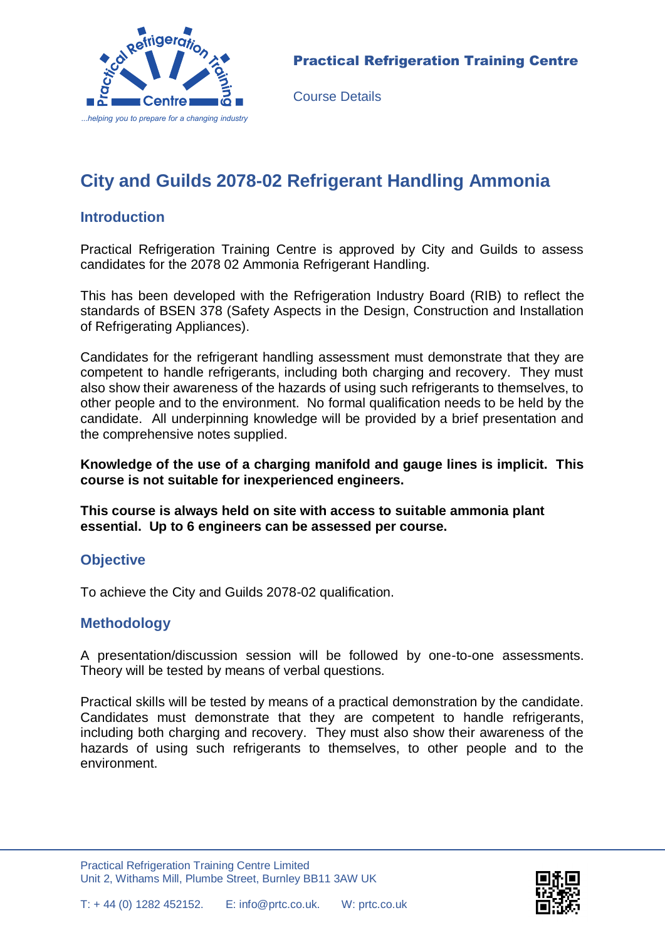

Course Details

# **City and Guilds 2078-02 Refrigerant Handling Ammonia**

### **Introduction**

Practical Refrigeration Training Centre is approved by City and Guilds to assess candidates for the 2078 02 Ammonia Refrigerant Handling.

This has been developed with the Refrigeration Industry Board (RIB) to reflect the standards of BSEN 378 (Safety Aspects in the Design, Construction and Installation of Refrigerating Appliances).

Candidates for the refrigerant handling assessment must demonstrate that they are competent to handle refrigerants, including both charging and recovery. They must also show their awareness of the hazards of using such refrigerants to themselves, to other people and to the environment. No formal qualification needs to be held by the candidate. All underpinning knowledge will be provided by a brief presentation and the comprehensive notes supplied.

**Knowledge of the use of a charging manifold and gauge lines is implicit. This course is not suitable for inexperienced engineers.**

**This course is always held on site with access to suitable ammonia plant essential. Up to 6 engineers can be assessed per course.**

#### **Objective**

To achieve the City and Guilds 2078-02 qualification.

## **Methodology**

A presentation/discussion session will be followed by one-to-one assessments. Theory will be tested by means of verbal questions.

Practical skills will be tested by means of a practical demonstration by the candidate. Candidates must demonstrate that they are competent to handle refrigerants, including both charging and recovery. They must also show their awareness of the hazards of using such refrigerants to themselves, to other people and to the environment.